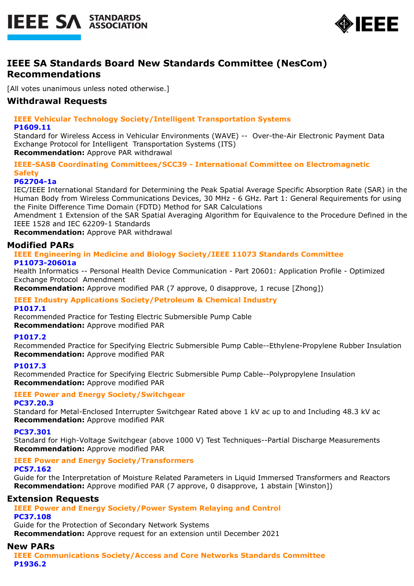



# **IEEE SA Standards Board New Standards Committee (NesCom) Recommendations**

[All votes unanimous unless noted otherwise.]

# **Withdrawal Requests**

# **IEEE Vehicular Technology Society/Intelligent Transportation Systems**

#### **P1609.11**

Standard for Wireless Access in Vehicular Environments (WAVE) -- Over-the-Air Electronic Payment Data Exchange Protocol for Intelligent Transportation Systems (ITS)

#### **Recommendation:** Approve PAR withdrawal

**IEEE-SASB Coordinating Committees/SCC39 - International Committee on Electromagnetic Safety**

## **P62704-1a**

IEC/IEEE International Standard for Determining the Peak Spatial Average Specific Absorption Rate (SAR) in the Human Body from Wireless Communications Devices, 30 MHz - 6 GHz. Part 1: General Requirements for using the Finite Difference Time Domain (FDTD) Method for SAR Calculations

Amendment 1 Extension of the SAR Spatial Averaging Algorithm for Equivalence to the Procedure Defined in the IEEE 1528 and IEC 62209-1 Standards

**Recommendation:** Approve PAR withdrawal

## **Modified PARs**

#### **IEEE Engineering in Medicine and Biology Society/IEEE 11073 Standards Committee P11073-20601a**

Health Informatics -- Personal Health Device Communication - Part 20601: Application Profile - Optimized Exchange Protocol Amendment

**Recommendation:** Approve modified PAR (7 approve, 0 disapprove, 1 recuse [Zhong])

# **IEEE Industry Applications Society/Petroleum & Chemical Industry**

**P1017.1**

Recommended Practice for Testing Electric Submersible Pump Cable **Recommendation:** Approve modified PAR

#### **P1017.2**

Recommended Practice for Specifying Electric Submersible Pump Cable--Ethylene-Propylene Rubber Insulation **Recommendation:** Approve modified PAR

#### **P1017.3**

Recommended Practice for Specifying Electric Submersible Pump Cable--Polypropylene Insulation **Recommendation:** Approve modified PAR

#### **IEEE Power and Energy Society/Switchgear**

#### **PC37.20.3**

Standard for Metal-Enclosed Interrupter Switchgear Rated above 1 kV ac up to and Including 48.3 kV ac **Recommendation:** Approve modified PAR

#### **PC37.301**

Standard for High-Voltage Switchgear (above 1000 V) Test Techniques--Partial Discharge Measurements **Recommendation:** Approve modified PAR

# **IEEE Power and Energy Society/Transformers**

#### **PC57.162**

Guide for the Interpretation of Moisture Related Parameters in Liquid Immersed Transformers and Reactors **Recommendation:** Approve modified PAR (7 approve, 0 disapprove, 1 abstain [Winston])

## **Extension Requests**

# **IEEE Power and Energy Society/Power System Relaying and Control**

**PC37.108**

Guide for the Protection of Secondary Network Systems

**Recommendation:** Approve request for an extension until December 2021

## **New PARs**

**IEEE Communications Society/Access and Core Networks Standards Committee P1936.2**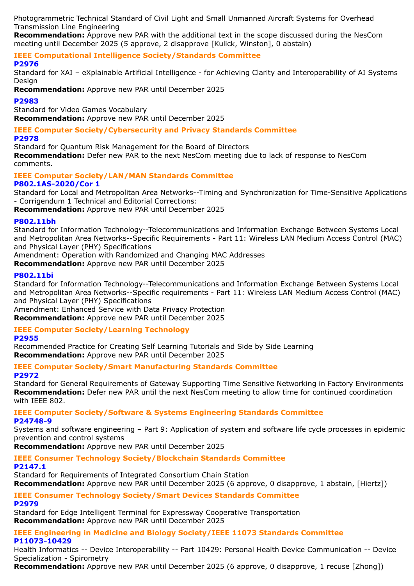Photogrammetric Technical Standard of Civil Light and Small Unmanned Aircraft Systems for Overhead Transmission Line Engineering

**Recommendation:** Approve new PAR with the additional text in the scope discussed during the NesCom meeting until December 2025 (5 approve, 2 disapprove [Kulick, Winston], 0 abstain)

**IEEE Computational Intelligence Society/Standards Committee**

### **P2976**

Standard for XAI – eXplainable Artificial Intelligence - for Achieving Clarity and Interoperability of AI Systems Design

**Recommendation:** Approve new PAR until December 2025

#### **P2983**

Standard for Video Games Vocabulary **Recommendation:** Approve new PAR until December 2025

#### **IEEE Computer Society/Cybersecurity and Privacy Standards Committee P2978**

Standard for Quantum Risk Management for the Board of Directors **Recommendation:** Defer new PAR to the next NesCom meeting due to lack of response to NesCom

comments.

# **IEEE Computer Society/LAN/MAN Standards Committee**

#### **P802.1AS-2020/Cor 1**

Standard for Local and Metropolitan Area Networks--Timing and Synchronization for Time-Sensitive Applications - Corrigendum 1 Technical and Editorial Corrections:

**Recommendation:** Approve new PAR until December 2025

#### **P802.11bh**

Standard for Information Technology--Telecommunications and Information Exchange Between Systems Local and Metropolitan Area Networks--Specific Requirements - Part 11: Wireless LAN Medium Access Control (MAC) and Physical Layer (PHY) Specifications

Amendment: Operation with Randomized and Changing MAC Addresses

**Recommendation:** Approve new PAR until December 2025

#### **P802.11bi**

Standard for Information Technology--Telecommunications and Information Exchange Between Systems Local and Metropolitan Area Networks--Specific requirements - Part 11: Wireless LAN Medium Access Control (MAC) and Physical Layer (PHY) Specifications

Amendment: Enhanced Service with Data Privacy Protection **Recommendation:** Approve new PAR until December 2025

# **IEEE Computer Society/Learning Technology**

**P2955**

Recommended Practice for Creating Self Learning Tutorials and Side by Side Learning **Recommendation:** Approve new PAR until December 2025

# **IEEE Computer Society/Smart Manufacturing Standards Committee**

**P2972** Standard for General Requirements of Gateway Supporting Time Sensitive Networking in Factory Environments

**Recommendation:** Defer new PAR until the next NesCom meeting to allow time for continued coordination with IEEE 802.

#### **IEEE Computer Society/Software & Systems Engineering Standards Committee P24748-9**

Systems and software engineering – Part 9: Application of system and software life cycle processes in epidemic prevention and control systems

**Recommendation:** Approve new PAR until December 2025

# **IEEE Consumer Technology Society/Blockchain Standards Committee**

#### **P2147.1**

Standard for Requirements of Integrated Consortium Chain Station

**Recommendation:** Approve new PAR until December 2025 (6 approve, 0 disapprove, 1 abstain, [Hiertz])

# **IEEE Consumer Technology Society/Smart Devices Standards Committee**

#### **P2979**

Standard for Edge Intelligent Terminal for Expressway Cooperative Transportation **Recommendation:** Approve new PAR until December 2025

#### **IEEE Engineering in Medicine and Biology Society/IEEE 11073 Standards Committee P11073-10429**

Health Informatics -- Device Interoperability -- Part 10429: Personal Health Device Communication -- Device Specialization - Spirometry

**Recommendation:** Approve new PAR until December 2025 (6 approve, 0 disapprove, 1 recuse [Zhong])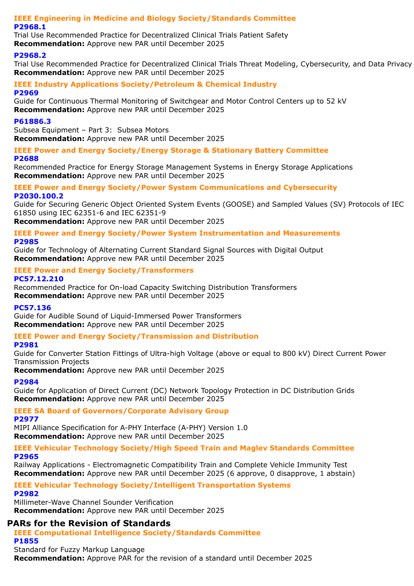#### **IEEE Engineering in Medicine and Biology Society/Standards Committee P2968.1**

Trial Use Recommended Practice for Decentralized Clinical Trials Patient Safety **Recommendation:** Approve new PAR until December 2025

### **P2968.2**

Trial Use Recommended Practice for Decentralized Clinical Trials Threat Modeling, Cybersecurity, and Data Privacy **Recommendation:** Approve new PAR until December 2025

#### **IEEE Industry Applications Society/Petroleum & Chemical Industry P2969**

Guide for Continuous Thermal Monitoring of Switchgear and Motor Control Centers up to 52 kV **Recommendation:** Approve new PAR until December 2025

### **P61886.3**

Subsea Equipment – Part 3: Subsea Motors **Recommendation:** Approve new PAR until December 2025

**IEEE Power and Energy Society/Energy Storage & Stationary Battery Committee P2688**

Recommended Practice for Energy Storage Management Systems in Energy Storage Applications **Recommendation:** Approve new PAR until December 2025

#### **IEEE Power and Energy Society/Power System Communications and Cybersecurity P2030.100.2**

Guide for Securing Generic Object Oriented System Events (GOOSE) and Sampled Values (SV) Protocols of IEC 61850 using IEC 62351-6 and IEC 62351-9

**Recommendation:** Approve new PAR until December 2025

#### **IEEE Power and Energy Society/Power System Instrumentation and Measurements P2985**

Guide for Technology of Alternating Current Standard Signal Sources with Digital Output **Recommendation:** Approve new PAR until December 2025

#### **IEEE Power and Energy Society/Transformers PC57.12.210**

Recommended Practice for On-load Capacity Switching Distribution Transformers **Recommendation:** Approve new PAR until December 2025

#### **PC57.136**

Guide for Audible Sound of Liquid-Immersed Power Transformers **Recommendation:** Approve new PAR until December 2025

## **IEEE Power and Energy Society/Transmission and Distribution**

#### **P2981**

Guide for Converter Station Fittings of Ultra-high Voltage (above or equal to 800 kV) Direct Current Power Transmission Projects

**Recommendation:** Approve new PAR until December 2025

## **P2984**

Guide for Application of Direct Current (DC) Network Topology Protection in DC Distribution Grids **Recommendation:** Approve new PAR until December 2025

## **IEEE SA Board of Governors/Corporate Advisory Group**

**P2977**

MIPI Alliance Specification for A-PHY Interface (A-PHY) Version 1.0 **Recommendation:** Approve new PAR until December 2025

## **IEEE Vehicular Technology Society/High Speed Train and Maglev Standards Committee P2965**

Railway Applications - Electromagnetic Compatibility Train and Complete Vehicle Immunity Test **Recommendation:** Approve new PAR until December 2025 (6 approve, 0 disapprove, 1 abstain)

# **IEEE Vehicular Technology Society/Intelligent Transportation Systems**

#### **P2982**

Millimeter-Wave Channel Sounder Verification **Recommendation:** Approve new PAR until December 2025

# **PARs for the Revision of Standards**

**IEEE Computational Intelligence Society/Standards Committee P1855**

Standard for Fuzzy Markup Language

**Recommendation:** Approve PAR for the revision of a standard until December 2025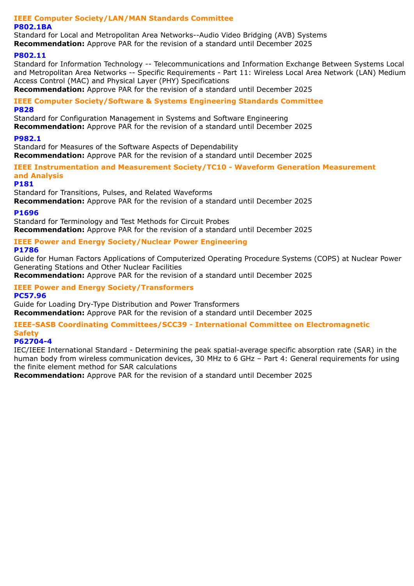#### **IEEE Computer Society/LAN/MAN Standards Committee P802.1BA**

Standard for Local and Metropolitan Area Networks--Audio Video Bridging (AVB) Systems **Recommendation:** Approve PAR for the revision of a standard until December 2025

#### **P802.11**

Standard for Information Technology -- Telecommunications and Information Exchange Between Systems Local and Metropolitan Area Networks -- Specific Requirements - Part 11: Wireless Local Area Network (LAN) Medium Access Control (MAC) and Physical Layer (PHY) Specifications

**Recommendation:** Approve PAR for the revision of a standard until December 2025

#### **IEEE Computer Society/Software & Systems Engineering Standards Committee P828**

Standard for Configuration Management in Systems and Software Engineering

**Recommendation:** Approve PAR for the revision of a standard until December 2025

#### **P982.1**

Standard for Measures of the Software Aspects of Dependability **Recommendation:** Approve PAR for the revision of a standard until December 2025

#### **IEEE Instrumentation and Measurement Society/TC10 - Waveform Generation Measurement and Analysis**

#### **P181**

Standard for Transitions, Pulses, and Related Waveforms **Recommendation:** Approve PAR for the revision of a standard until December 2025

#### **P1696**

Standard for Terminology and Test Methods for Circuit Probes **Recommendation:** Approve PAR for the revision of a standard until December 2025

## **IEEE Power and Energy Society/Nuclear Power Engineering**

## **P1786**

Guide for Human Factors Applications of Computerized Operating Procedure Systems (COPS) at Nuclear Power Generating Stations and Other Nuclear Facilities

**Recommendation:** Approve PAR for the revision of a standard until December 2025

# **IEEE Power and Energy Society/Transformers**

### **PC57.96**

Guide for Loading Dry-Type Distribution and Power Transformers

**Recommendation:** Approve PAR for the revision of a standard until December 2025

## **IEEE-SASB Coordinating Committees/SCC39 - International Committee on Electromagnetic Safety**

# **P62704-4**

IEC/IEEE International Standard - Determining the peak spatial-average specific absorption rate (SAR) in the human body from wireless communication devices, 30 MHz to 6 GHz – Part 4: General requirements for using the finite element method for SAR calculations

**Recommendation:** Approve PAR for the revision of a standard until December 2025